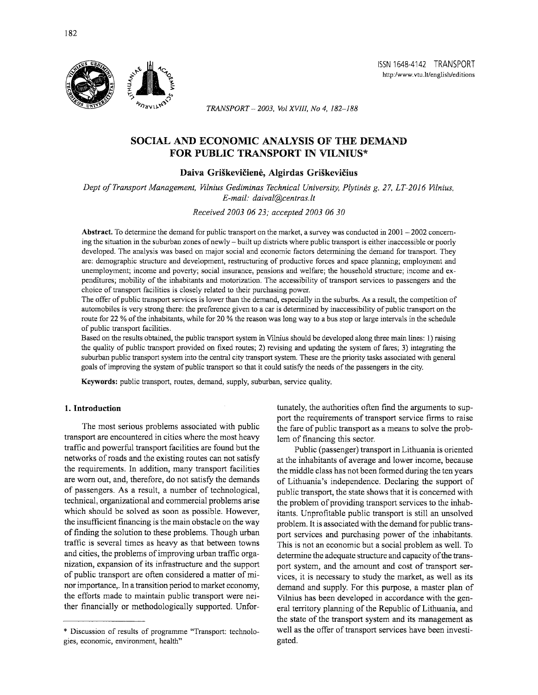

*TRANSPORT- 2003, Vol XVIII, No 4, 182-188* 

# SOCIAL AND ECONOMIC ANALYSIS OF THE DEMAND FOR PUBLIC TRANSPORT IN VILNIUS\*

#### Daiva Griškevičienė, Algirdas Griškevičius

*Dept of Transport Management, Vilnius Gediminas Technical University, Plytines g. 27, LT-2016 Vilnius, E-mail: daival@centras.lt* 

*Received 2003 06 23; accepted 2003 06 30* 

Abstract. To determine the demand for public transport on the market, a survey was conducted in  $2001 - 2002$  concerning the situation in the suburban zones of newly- built up districts where public transport is either inaccessible or poorly developed. The analysis was based on major social and economic factors determining the demand for transport. They are: demographic structure and development, restructuring of productive forces and space planning; employment and unemployment; income and poverty; social insurance, pensions and welfare; the household structure; income and expenditures; mobility of the inhabitants and motorization. The accessibility of transport services to passengers and the choice of transport facilities is closely related to their purchasing power.

The offer of public transport services is lower than the demand, especially in the suburbs. As a result, the competition of automobiles is very strong there: the preference given to a car is determined by inaccessibility of public transport on the route for 22 % of the inhabitants, while for 20 % the reason was long way to a bus stop or large intervals in the schedule of public transport facilities.

Based on the results obtained, the public transport system in Vilnius should be developed along three main lines: 1) raising the quality of public transport provided on fixed routes; 2) revising and updating the system of fares; 3) integrating the suburban public transport system into the central city transport system. These are the priority tasks associated with general goals of improving the system of public transport so that it could satisfy the needs of the passengers in the city.

Keywords: public transport, routes, demand, supply, suburban, service quality.

The most serious problems associated with public transport are encountered in cities where the most heavy traffic and powerful transport facilities are found but the networks of roads and the existing routes can not satisfy the requirements. In addition, many transport facilities are worn out, and, therefore, do not satisfy the demands of passengers. As a result, a number of technological, technical, organizational and commercial problems arise which should be solved as soon as possible. However, the insufficient fmancing is the main obstacle on the way of finding the solution to these problems. Though urban traffic is several times as heavy as that between towns and cities, the problems of improving urban traffic organization, expansion of its infrastructure and the support of public transport are often considered a matter of minor importance,. In a transition period to market economy, the efforts made to maintain public transport were neither financially or methodologically supported. Unfor-

1. Introduction tunately, the authorities often find the arguments to support the requirements of transport service firms to raise the fare of public transport as a means to solve the problem of financing this sector.

> Public (passenger) transport in Lithuania is oriented at the inhabitants of average and lower income, because the middle class has not been formed during the ten years of Lithuania's independence. Declaring the support of public transport, the state shows that it is concerned with the problem of providing transport services to the inhabitants. Unprofitable public transport is still an unsolved problem. It is associated with the demand for public transport services and purchasing power of the inhabitants. This is not an economic but a social problem as well. To determine the adequate structure and capacity of the transport system, and the amount and cost of transport services, it is necessary to study the market, as well as its demand and supply. For this purpose, a master plan of Vilnius has been developed in accordance with the general territory planning of the Republic of Lithuania, and the state of the transport system and its management as well as the offer of transport services have been investigated.

<sup>\*</sup> Discussion of results of programme "Transport: technologies, economic, environment, health"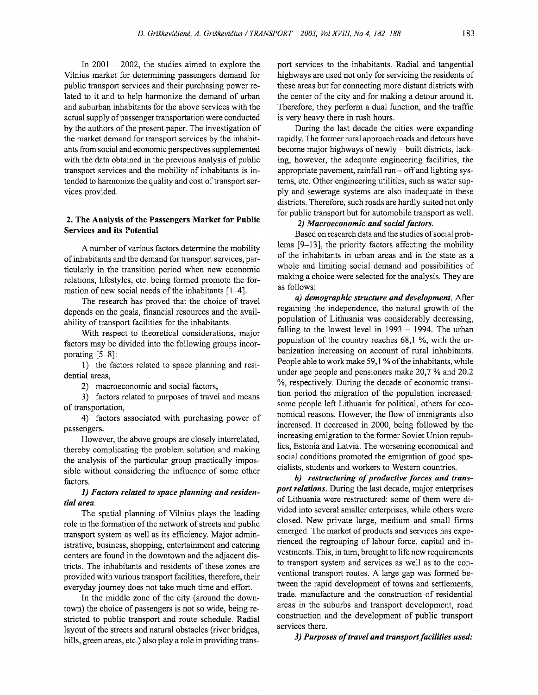In  $2001 - 2002$ , the studies aimed to explore the Vilnius market for determining passengers demand for public transport services and their purchasing power related to it and to help harmonize the demand of urban and suburban inhabitants for the above services with the actual supply of passenger transportation were conducted by the authors of the present paper. The investigation of the market demand for transport services by the inhabitants from social and economic perspectives supplemented with the data obtained in the previous analysis of public transport services and the mobility of inhabitants is intended to harmonize the quality and cost of transport services provided.

#### 2. The Analysis of the Passengers Market for Public Services and its Potential

A number of various factors determine the mobility of inhabitants and the demand for transport services, particularly in the transition period when new economic relations, lifestyles, etc. being formed promote the formation of new social needs of the inhabitants  $[1-4]$ .

The research has proved that the choice of travel depends on the goals, financial resources and the availability of transport facilities for the inhabitants.

With respect to theoretical considerations, major factors may be divided into the following groups incorporating [5-8]:

1) the factors related to space planning and residential areas,

2) macroeconomic and social factors,

3) factors related to purposes of travel and means of transportation,

4) factors associated with purchasing power of passengers.

However, the above groups are closely interrelated, thereby complicating the problem solution and making the analysis of the particular group practically impossible without considering the influence of some other factors.

# *1) Factors related to space planning and residential area.*

The spatial planning of Vilnius plays the leading role in the formation of the network of streets and public transport system as well as its efficiency. Major administrative, business, shopping, entertainment and catering centers are found in the downtown and the adjacent districts. The inhabitants and residents of these zones are provided with various transport facilities, therefore, their everyday journey does not take much time and effort.

In the middle zone of the city (around the downtown) the choice of passengers is not so wide, being restricted to public transport and route schedule. Radial layout of the streets and natural obstacles (river bridges, hills, green areas, etc.) also play a role in providing trans-

port services to the inhabitants. Radial and tangential highways are used not only for servicing the residents of these areas but for connecting more distant districts with the center of the city and for making a detour around it. Therefore, they perform a dual function, and the traffic is very heavy there in rush hours.

During the last decade the cities were expanding rapidly. The former rural approach roads and detours have become major highways of newly- built districts, lacking, however, the adequate engineering facilities, the appropriate pavement, rainfall  $run-off$  and lighting systems, etc. Other engineering utilities, such as water supply and sewerage systems are also inadequate in these districts. Therefore, such roads are hardly suited not only for public transport but for automobile transport as well.

# *2) Macroeconomic and social factors.*

Based on research data and the studies of social problems [9-13], the priority factors affecting the mobility of the inhabitants in urban areas and in the state as a whole and limiting social demand and possibilities of making a choice were selected for the analysis. They are as follows:

*a) demographic structure and development.* After regaining the independence, the natural growth of the population of Lithuania was considerably decreasing, falling to the lowest level in  $1993 - 1994$ . The urban population of the country reaches 68,1 %, with the urbanization increasing on account of rural inhabitants. People able to work make 59,1 % of the inhabitants, while under age people and pensioners make 20,7% and 20.2 %, respectively. During the decade of economic transition period the migration of the population increased: some people left Lithuania for political, others for economical reasons. However, the flow of immigrants also increased. It decreased in 2000, being followed by the increasing emigration to the former Soviet Union republics, Estonia and Latvia. The worsening economical and social conditions promoted the emigration of good specialists, students and workers to Western countries.

*b) restructuring of productive forces and transport relations.* During the last decade, major enterprises of Lithuania were restructured: some of them were divided into several smaller enterprises, while others were closed. New private large, medium and small firms emerged. The market of products and services has experienced the regrouping of labour force, capital and investments. This, in tum, brought to life new requirements to transport system and services as well as to the conventional transport routes. A large gap was formed between the rapid development of towns and settlements, trade, manufacture and the construction of residential areas in the suburbs and transport development, road construction and the development of public transport services there.

*3) Purposes of travel and transport facilities used:*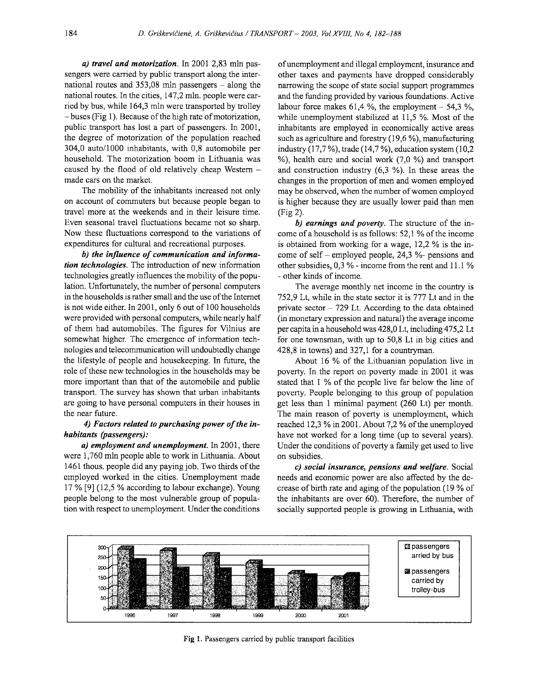*a) travel and motorization.* In 2001 2,83 mln passengers were carried by public transport along the international routes and  $353,08$  mln passengers - along the national routes. In the cities, 147,2 mln. people were carried by bus, while 164,3 mln were transported by trolley -buses (Fig 1). Because of the high rate of motorization, public transport has lost a part of passengers. In 2001, the degree of motorization of the population reached 304,0 auto/1000 inhabitants, with 0,8 automobile per household. The motorization boom in Lithuania was caused by the flood of old relatively cheap Western made cars on the market.

The mobility of the inhabitants increased not only on account of commuters but because people began to travel more at the weekends and in their leisure time. Even seasonal travel fluctuations became not so sharp. Now these fluctuations correspond to the variations of expenditures for cultural and recreational purposes.

*b) the influence of communication and information technologies.* The introduction of new information technologies greatly influences the mobility of the population. Unfortunately, the number of personal computers in the households is rather small and the use of the Internet is not wide either. In 2001, only 6 out of 100 households were provided with personal computers, while nearly half of them had automobiles. The figures for Vilnius are somewhat higher. The emergence of information technologies and telecommunication will undoubtedly change the lifestyle of people and housekeeping. In future, the role of these new technologies in the households may be more important than that of the automobile and public transport. The survey has shown that urban inhabitants are going to have personal computers in their houses in the near future.

# *4) Factors related to purchasing power of the inhabitants (passengers):*

*a) employment and unemployment.* In 2001, there were 1, 760 mln people able to work in Lithuania. About 1461 thous. people did any paying job. Two thirds of the employed worked in the cities. Unemployment made 17% [9] (12,5% according to labour exchange). Young people belong to the most vulnerable group of population with respect to unemployment. Under the conditions

of unemployment and illegal employment, insurance and other taxes and payments have dropped considerably narrowing the scope of state social support programmes and the funding provided by various foundations. Active labour force makes 61,4 %, the employment  $-$  54,3 %, while unemployment stabilized at 11,5 %. Most of the inhabitants are employed in economically active areas such as agriculture and forestry (19,6 %), manufacturing industry (17,7 %), trade (14,7 %), education system (10,2  $\%$ ), health care and social work (7,0  $\%$ ) and transport and construction industry (6,3 %). In these areas the changes in the proportion of men and women employed may be observed, when the number of women employed is higher because they are usually lower paid than men (Fig 2).

*b) earnings and poverty.* The structure of the income of a household is as follows: 52,1% of the income is obtained from working for a wage, 12,2 % is the income of self – employed people,  $24.3$  %- pensions and other subsidies, 0,3 % - income from the rent and 11.1 % - other kinds of income.

The average monthly net income in the country is 752,9 Lt, while in the state sector it is 777 Lt and in the private sector  $-729$  Lt. According to the data obtained (in monetary expression and natural) the average income per capita in a household was 428,0 Lt, including 475,2 Lt for one townsman, with up to 50,8 Lt in big cities and 428,8 in towns) and 327,1 for a countryman.

About 16 % of the Lithuanian population live in poverty. In the report on poverty made in 2001 it was stated that 1 % of the people live far below the line of poverty. People belonging to this group of population get less than 1 minimal payment (260 Lt) per month. The main reason of poverty is unemployment, which reached 12,3% in 2001. About 7,2% of the unemployed have not worked for a long time (up to several years). Under the conditions of poverty a family get used to live on subsidies.

*c) social insurance, pensions and welfare.* Social needs and economic power are also affected by the decrease of birth rate and aging of the population (19% of the inhabitants are over 60). Therefore, the number of socially supported people is growing in Lithuania, with



**Fig** 1. Passengers carried by public transport facilities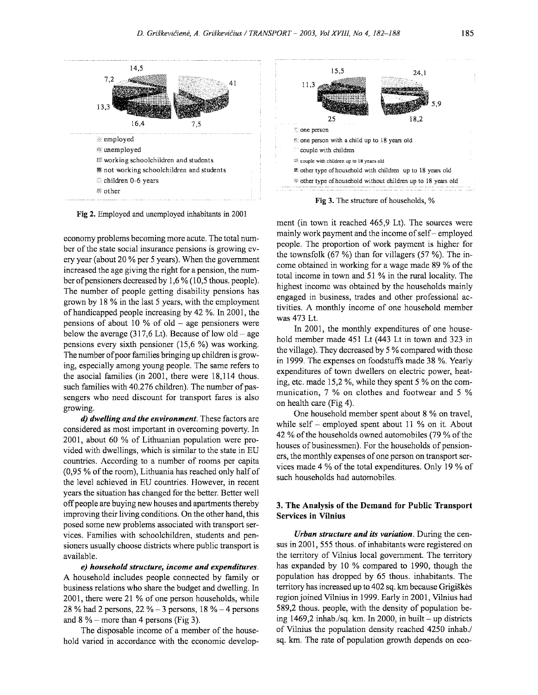

Fig 2. Employed and unemployed inhabitants in 2001

economy problems becoming more acute. The total number of the state social insurance pensions is growing every year (about 20% per 5 years). When the government increased the age giving the right for a pension, the number of pensioners decreased by 1,6% (10,5 thous. people). The number of people getting disability pensions has grown by 18 % in the last 5 years, with the employment of handicapped people increasing by 42 %. In 2001, the pensions of about 10 % of old  $-$  age pensioners were below the average (317,6 Lt). Because of low old – age pensions every sixth pensioner (15,6 %) was working. The number of poor families bringing up children is growing, especially among young people. The same refers to the asocial families (in 2001, there were 18,114 thous. such families with 40.276 children). The number of passengers who need discount for transport fares is also growing.

*d) dwelling and the environment.* These factors are considered as most important in overcoming poverty. In 2001, about 60 % of Lithuanian population were provided with dwellings, which is similar to the state in EU countries. According to a number of rooms per capita (0,95 % of the room), Lithuania has reached only half of the level achieved in EU countries. However, in recent years the situation has changed for the better. Better well off people are buying new houses and apartments thereby improving their living conditions. On the other hand, this posed some new problems associated with transport services. Families with schoolchildren, students and pensioners usually choose districts where public transport is available.

*e) household structure, income and expenditures.*  A household includes people connected by family or business relations who share the budget and dwelling. In 2001, there were 21 % of one person households, while 28 % had 2 persons,  $22\% - 3$  persons,  $18\% - 4$  persons and  $8\%$  - more than 4 persons (Fig 3).

The disposable income of a member of the household varied in accordance with the economic develop-

Fig 3. The structure of households, %

ment (in town it reached 465,9 Lt). The sources were mainly work payment and the income of self- employed people. The proportion of work payment is higher for the townsfolk  $(67 \%)$  than for villagers  $(57 \%)$ . The income obtained in working for a wage made 89 % of the total income in town and 51 % in the rural locality. The highest income was obtained by the households mainly engaged in business, trades and other professional activities. A monthly income of one household member was 473 Lt.

In 2001, the monthly expenditures of one household member made 451 Lt (443 Lt in town and 323 in the village). They decreased by 5 % compared with those in 1999. The expenses on foodstuffs made 38 %. Yearly expenditures of town dwellers on electric power, heating, etc. made 15,2 %, while they spent 5% on the communication, 7 % on clothes and footwear and 5 % on health care (Fig 4).

One household member spent about 8 % on travel, while self – employed spent about 11  $%$  on it. About 42% of the households owned automobiles (79% of the houses of businessmen). For the households of pensioners, the monthly expenses of one person on transport services made 4% of the total expenditures. Only 19% of such households had automobiles.

# 3. The Analysis of the Demand for Public Transport Services in Vilnius

*Urban structure and its variation.* During the census in 2001, 555 thous. of inhabitants were registered on the territory of Vilnius local government. The territory has expanded by 10 % compared to 1990, though the population has dropped by 65 thous. inhabitants. The territory has increased up to 402 sq. km because Grigiskes region joined Vilnius in 1999. Early in 2001, Vilnius had 589,2 thous. people, with the density of population being 1469,2 inhab./sq. km. In 2000, in built - up districts of Vilnius the population density reached 4250 inhab./ sq. km. The rate of population growth depends on eco-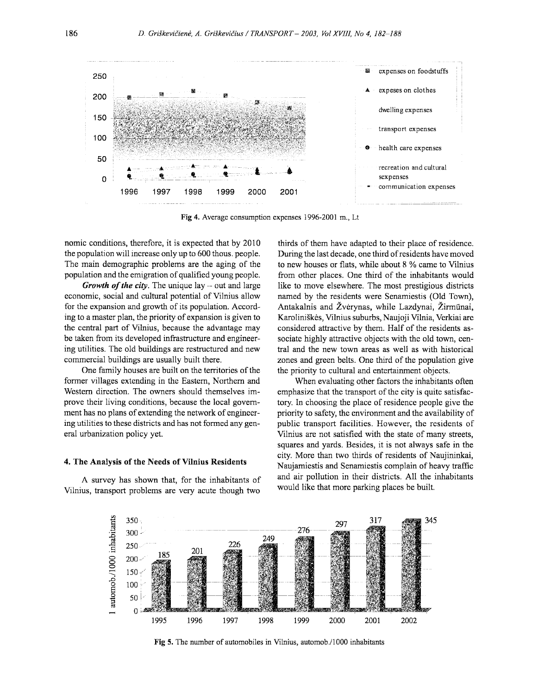

Fig 4. Average consumption expenses 1996-2001 m., Lt

nomic conditions, therefore, it is expected that by 2010 the population will increase only up to 600 thous. people. The main demographic problems are the aging of the population and the emigration of qualified young people.

*Growth of the city.* The unique lay – out and large economic, social and cultural potential of Vilnius allow for the expansion and growth of its population. According to a master plan, the priority of expansion is given to the central part of Vilnius, because the advantage may be taken from its developed infrastructure and engineering utilities. The old buildings are restructured and new commercial buildings are usually built there.

One family houses are built on the territories of the former villages extending in the Eastern, Northern and Western direction. The owners should themselves improve their living conditions, because the local government has no plans of extending the network of engineering utilities to these districts and has not formed any general urbanization policy yet.

#### 4. The Analysis of the Needs of Vilnius Residents

A survey has shown that, for the inhabitants of Vilnius, transport problems are very acute though two

thirds of them have adapted to their place of residence. During the last decade, one third of residents have moved to new houses or flats, while about 8 % came to Vilnius from other places. One third of the inhabitants would like to move elsewhere. The most prestigious districts named by the residents were Senamiestis (Old Town), Antakalnis and Žvėrynas, while Lazdynai, Žirmūnai, Karoliniskes, Vilnius suburbs, Naujoji Vilnia, Verkiai are considered attractive by them. Half of the residents associate highly attractive objects with the old town, central and the new town areas as well as with historical zones and green belts. One third of the population give the priority to cultural and entertainment objects.

When evaluating other factors the inhabitants often emphasize that the transport of the city is quite satisfactory. In choosing the place of residence people give the priority to safety, the environment and the availability of public transport facilities. However, the residents of Vilnius are not satisfied with the state of many streets, squares and yards. Besides, it is not always safe in the city. More than two thirds of residents of Naujininkai, Naujamiestis and Senamiestis complain of heavy traffic and air pollution in their districts. All the inhabitants would like that more parking places be built.



Fig 5. The number of automobiles in Vilnius, automob./1 000 inhabitants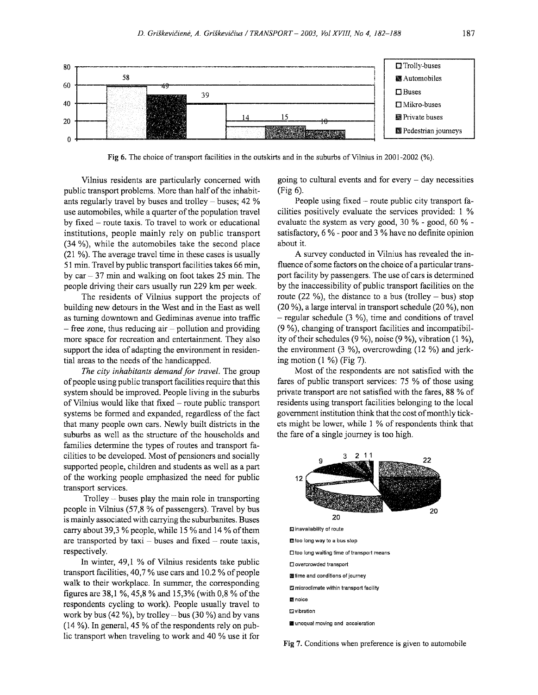

Fig 6. The choice of transport facilities in the outskirts and in the suburbs of Vilnius in 2001-2002 (%).

Vilnius residents are particularly concerned with public transport problems. More than half of the inhabitants regularly travel by buses and trolley- buses; 42 % use automobiles, while a quarter of the population travel by fixed  $-$  route taxis. To travel to work or educational institutions, people mainly rely on public transport (34 %), while the automobiles take the second place (21 %). The average travel time in these cases is usually 51 min. Travel by public transport facilities takes 66 min, by  $car - 37$  min and walking on foot takes 25 min. The people driving their cars usually run 229 km per week.

The residents of Vilnius support the projects of building new detours in the West and in the East as well as turning downtown and Gediminas avenue into traffic  $-$  free zone, thus reducing air  $-$  pollution and providing more space for recreation and entertainment. They also support the idea of adapting the environment in residential areas to the needs of the handicapped.

*The city inhabitants demand for travel.* The group of people using public transport facilities require that this system should be improved. People living in the suburbs of Vilnius would like that fixed - route public transport systems be formed and expanded, regardless of the fact that many people own cars. Newly built districts in the suburbs as well as the structure of the households and families determine the types of routes and transport facilities to be developed. Most of pensioners and socially supported people, children and students as well as a part of the working people emphasized the need for public transport services.

Trolley  $-$  buses play the main role in transporting people in Vilnius (57,8% of passengers). Travel by bus is mainly associated with carrying the suburbanites. Buses carry about 39,3% people, while 15% and 14% of them are transported by  $taxi - buses$  and fixed - route taxis, respectively.

In winter, 49,1 % of Vilnius residents take public transport facilities, 40,7% use cars and 10.2% of people walk to their workplace. In summer, the corresponding figures are 38,1 %, 45,8 % and 15,3% (with 0,8 % of the respondents cycling to work). People usually travel to work by bus (42 %), by trolley – bus (30 %) and by vans  $(14 \%)$ . In general, 45 % of the respondents rely on public transport when traveling to work and 40 % use it for

going to cultural events and for every  $-$  day necessities (Fig 6).

People using fixed – route public city transport facilities positively evaluate the services provided: 1 % evaluate the system as very good, 30 % - good, 60 % satisfactory, 6 % - poor and 3 % have no defmite opinion about it.

A survey conducted in Vilnius has revealed the influence of some factors on the choice of a particular transport facility by passengers. The use of cars is determined by the inaccessibility of public transport facilities on the route (22 %), the distance to a bus (trolley – bus) stop (20 %), a large interval in transport schedule (20 %), non  $-$  regular schedule (3 %), time and conditions of travel (9 %), changing of transport facilities and incompatibility of their schedules (9 %), noise (9 %), vibration (1 %), the environment (3 %), overcrowding (12 %) and jerking motion  $(1 \%)$  (Fig 7).

Most of the respondents are not satisfied with the fares of public transport services: 75 % of those using private transport are not satisfied with the fares, 88 % of residents using transport facilities belonging to the local government institution think that the cost of monthly tickets might be lower, while 1 % of respondents think that the fare of a single journey is too high.



**Fig** 7. Conditions when preference is given to automobile